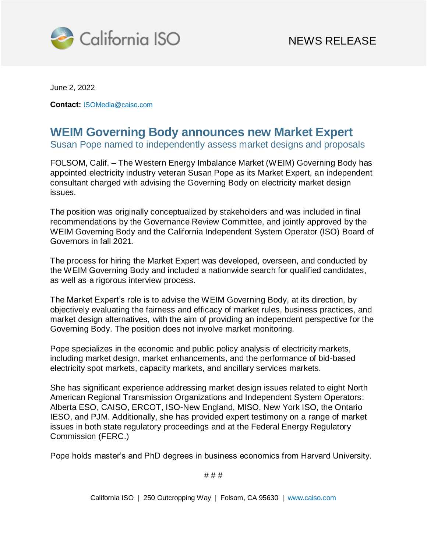

June 2, 2022

**Contact:** [ISOMedia@caiso.com](mailto:ISOMedia@caiso.com)

## **WEIM Governing Body announces new Market Expert**

Susan Pope named to independently assess market designs and proposals

FOLSOM, Calif. – The Western Energy Imbalance Market (WEIM) Governing Body has appointed electricity industry veteran Susan Pope as its Market Expert, an independent consultant charged with advising the Governing Body on electricity market design issues.

The position was originally conceptualized by stakeholders and was included in final recommendations by the Governance Review Committee, and jointly approved by the WEIM Governing Body and the California Independent System Operator (ISO) Board of Governors in fall 2021.

The process for hiring the Market Expert was developed, overseen, and conducted by the WEIM Governing Body and included a nationwide search for qualified candidates, as well as a rigorous interview process.

The Market Expert's role is to advise the WEIM Governing Body, at its direction, by objectively evaluating the fairness and efficacy of market rules, business practices, and market design alternatives, with the aim of providing an independent perspective for the Governing Body. The position does not involve market monitoring.

Pope specializes in the economic and public policy analysis of electricity markets, including market design, market enhancements, and the performance of bid-based electricity spot markets, capacity markets, and ancillary services markets.

She has significant experience addressing market design issues related to eight North American Regional Transmission Organizations and Independent System Operators: Alberta ESO, CAISO, ERCOT, ISO-New England, MISO, New York ISO, the Ontario IESO, and PJM. Additionally, she has provided expert testimony on a range of market issues in both state regulatory proceedings and at the Federal Energy Regulatory Commission (FERC.)

Pope holds master's and PhD degrees in business economics from Harvard University.

# # #